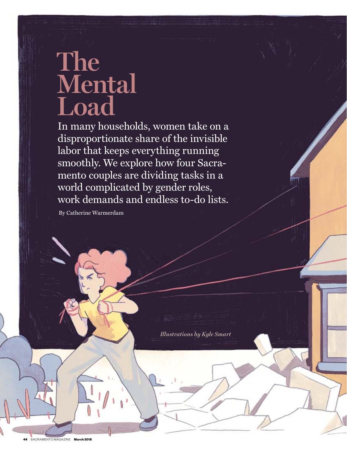# **The Mental Load**

In many households, women take on a disproportionate share of the invisible labor that keeps everything running smoothly. We explore how four Sacramento couples are dividing tasks in a world complicated by gender roles, work demands and endless to-do lists.

By Catherine Warmerdam

*Illustrations by Kyle Smart*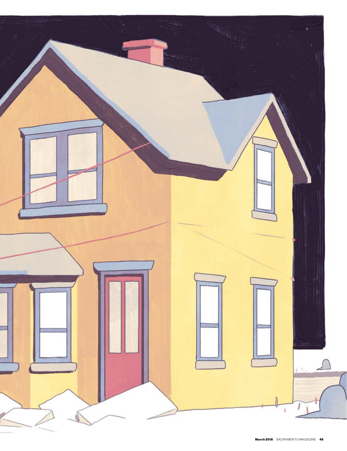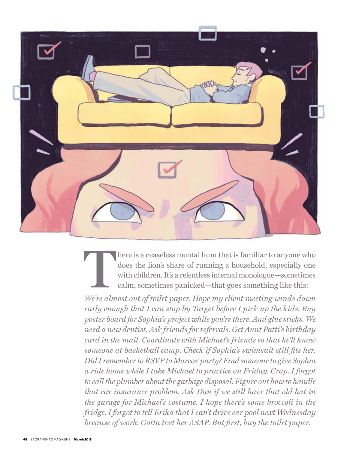

here is a ceaseless mental hum that is familiar to anyone who does the lion's share of running a household, especially one with children. It's a relentless internal monologue—sometimes calm, sometimes panicked—that goes something like this: **Example 18 a** ceaseless mental hum that is familiar to anyone who does the lion's share of running a household, especially one with children. It's a relentless internal monologue—sometimes calm, sometimes panicked—that go

*early enough that I can stop by Target before I pick up the kids. Buy poster board for Sophia's project while you're there. And glue sticks. We need a new dentist. Ask friends for referrals. Get Aunt Patti's birthday card in the mail. Coordinate with Michael's friends so that he'll know someone at basketball camp. Check if Sophia's swimsuit still fits her. Did I remember to RSVP to Marcos' party? Find someone to give Sophia a ride home while I take Michael to practice on Friday. Crap. I forgot to call the plumber about the garbage disposal. Figure out how to handle that car insurance problem. Ask Dan if we still have that old hat in the garage for Michael's costume. I hope there's some broccoli in the fridge. I forgot to tell Erika that I can't drive car pool next Wednesday because of work. Gotta text her ASAP. But first, buy the toilet paper.*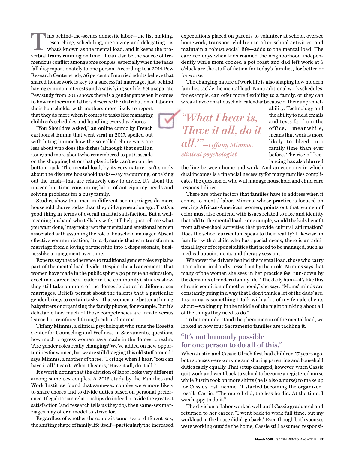his behind-the-scenes domestic labor—the list making, researching, scheduling, organizing and delegating—is what's known as the mental load, and it keeps the pro-In this behind-the-scenes domestic labor—the list making, researching, scheduling, organizing and delegating—is what's known as the mental load, and it keeps the proverbial trains running on time. It can also be the source mendous conflict among some couples, especially when the tasks fall disproportionately to one person. According to a 2014 Pew Research Center study, 56 percent of married adults believe that shared housework is key to a successful marriage, just behind having common interests and a satisfying sex life. Yet a separate Pew study from 2015 shows there is a gender gap when it comes to how mothers and fathers describe the distribution of labor in their households, with mothers more likely to report

that they do more when it comes to tasks like managing children's schedules and handling everyday chores.

"You Should've Asked," an online comic by French cartoonist Emma that went viral in 2017, spelled out with biting humor how the so-called chore wars are less about who does the dishes (although that's still an issue) and more about who remembered to put Cascade on the shopping list or that plastic lids can't go on the

bottom rack. The mental load, by its very nature, isn't simply about the discrete household tasks—say vacuuming, or taking out the trash—that are relatively easy to divide. It's about the unseen but time-consuming labor of anticipating needs and solving problems for a busy family.

Studies show that men in different-sex marriages do more household chores today than they did a generation ago. That's a good thing in terms of overall marital satisfaction. But a wellmeaning husband who tells his wife, "I'll help, just tell me what you want done," may not grasp the mental and emotional burden associated with assuming the role of household manager. Absent effective communication, it's a dynamic that can transform a marriage from a loving partnership into a dispassionate, businesslike arrangement over time.

Experts say that adherence to traditional gender roles explains part of the mental load divide. Despite the advancements that women have made in the public sphere (to pursue an education, excel in a career, be a leader in the community), studies show they still take on more of the domestic duties in different-sex marriages. Beliefs persist about the talents that a particular gender brings to certain tasks—that women are better at hiring babysitters or organizing the family photos, for example. But it's debatable how much of those competencies are innate versus learned or reinforced through cultural norms.

Tiffany Mimms, a clinical psychologist who runs the Rosetta Center for Counseling and Wellness in Sacramento, questions how much progress women have made in the domestic realm. "Are gender roles really changing? We've added on new opportunities for women, but we are still dragging this old stuff around," says Mimms, a mother of three. "I cringe when I hear, 'You can have it all.' I can't. What I hear is, 'Have it all, do it all.'"

It's worth noting that the division of labor looks very different among same-sex couples. A 2015 study by the Families and Work Institute found that same-sex couples were more likely to share chores and to divide duties based on personal preference. If egalitarian relationships do indeed provide the greatest satisfaction (and research tells us they do), then same-sex marriages may offer a model to strive for.

Regardless of whether the couple is same-sex or different-sex, the shifting shape of family life itself—particularly the increased

expectations placed on parents to volunteer at school, oversee homework, transport children to after-school activities, and maintain a robust social life—adds to the mental load. The carefree days when kids roamed the neighborhood independently while mom cooked a pot roast and dad left work at 5 o'clock are the stuff of fiction for today's families, for better or for worse.

The changing nature of work life is also shaping how modern families tackle the mental load. Nontraditional work schedules, for example, can offer more flexibility to a family, or they can wreak havoc on a household calendar because of their unpredict-

*"What I hear is, 'Have it all, do it all.'"—Tiffany Mimms, clinical psychologist*

ability. Technology and the ability to field emails and texts far from the office, meanwhile, means that work is more likely to bleed into family time than ever before. The rise of freelancing has also blurred

the line between home and work. And an economy in which dual incomes is a financial necessity for many families complicates the question of who will manage household and child care responsibilities.

There are other factors that families have to address when it comes to mental labor. Mimms, whose practice is focused on serving African-American women, points out that women of color must also contend with issues related to race and identity that add to the mental load. For example, would the kids benefit from after-school activities that provide cultural affirmation? Does the school curriculum speak to their reality? Likewise, in families with a child who has special needs, there is an additional layer of responsibilities that need to be managed, such as medical appointments and therapy sessions.

Whatever the drivers behind the mental load, those who carry it are often tired and stressed out by their role. Mimms says that many of the women she sees in her practice feel run-down by the demands of modern family life. "The daily hum—it's like this chronic condition of motherhood," she says. "Moms' minds are constantly going in a way that I don't think a lot of the dads' are. Insomnia is something I talk with a lot of my female clients about—waking up in the middle of the night thinking about all of the things they need to do."

To better understand the phenomenon of the mental load, we looked at how four Sacramento families are tackling it.

## **"It's not humanly possible for one person to do all of this."**

When Justin and Cassie Ulrich first had children 17 years ago, both spouses were working and sharing parenting and household duties fairly equally. That setup changed, however, when Cassie quit work and went back to school to become a registered nurse while Justin took on more shifts (he is also a nurse) to make up for Cassie's lost income. "I started becoming the organizer," recalls Cassie. "The more I did, the less he did. At the time, I was happy to do it."

The division of labor worked well until Cassie graduated and returned to her career. "I went back to work full time, but my workload in the house didn't go back." Even though both spouses were working outside the home, Cassie still assumed responsi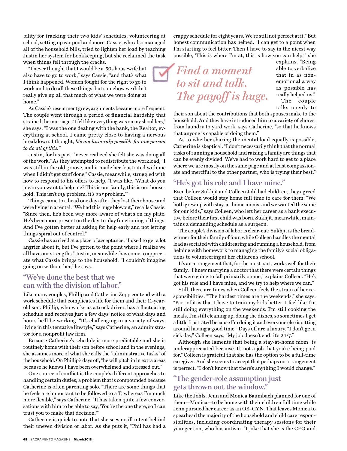bility for tracking their two kids' schedules, volunteering at school, setting up car pool and more. Cassie, who also managed all of the household bills, tried to lighten her load by teaching Justin her system for bookkeeping, but she reclaimed the task when things fell through the cracks.

"I never thought that I would be a '50s housewife but also have to go to work," says Cassie, "and that's what I think happened. Women fought for the right to go to work and to do all these things, but somehow we didn't really give up all that much of what we were doing at home."

As Cassie's resentment grew, arguments became more frequent. The couple went through a period of financial hardship that strained the marriage. "I felt like everything was on my shoulders," she says. "I was the one dealing with the bank, the Realtor, everything at school. I came pretty close to having a nervous breakdown. I thought, *It's not humanly possible for one person to do all of this."*

Justin, for his part, "never realized she felt she was doing all of the work." As they attempted to redistribute the workload, "I was still in the old groove, and it made her frustrated with me when I didn't get stuff done." Cassie, meanwhile, struggled with how to respond to his offers to help. "I was like, 'What do you mean you want to help me? This is our family, this is our household. This isn't *my* problem, it's *our* problem.'"

Things came to a head one day after they lost their house and were living in a rental. "We had this huge blowout," recalls Cassie. "Since then, he's been way more aware of what's on my plate. He's been more present on the day-to-day functioning of things. And I've gotten better at asking for help early and not letting things spiral out of control."

Cassie has arrived at a place of acceptance. "I used to get a lot angrier about it, but I've gotten to the point where I realize we all have our strengths." Justin, meanwhile, has come to appreciate what Cassie brings to the household. "I couldn't imagine going on without her," he says.

### **"We've done the best that we can with the division of labor."**

Like many couples, Phillip and Catherine Zepp contend with a work schedule that complicates life for them and their 11-yearold son. Phillip, who works as a truck driver, has a fluctuating schedule and receives just a few days' notice of what days and hours he'll be working. "It's challenging in a variety of ways, living in this tentative lifestyle," says Catherine, an administrator for a nonprofit law firm.

Because Catherine's schedule is more predictable and she is routinely home with their son before school and in the evenings, she assumes more of what she calls the "administrative tasks" of the household. On Phillip's days off, "he will pitch in in extra areas because he knows I have been overwhelmed and stressed out."

One source of conflict is the couple's different approaches to handling certain duties, a problem that is compounded because Catherine is often parenting solo. "There are some things that he feels are important to be followed to a T, whereas I'm much more flexible," says Catherine. "It has taken quite a few conversations with him to be able to say, 'You're the one there, so I can trust you to make that decision.'"

Catherine is quick to note that she sees no ill intent behind their uneven division of labor. As she puts it, "Phil has had a crappy schedule for eight years. We're still not perfect at it." But honest communication has helped. "I can get to a point when I'm starting to feel bitter. Then I have to say in the nicest way possible, 'This is where I'm at, this is how you can help,'" she

*Find a moment to sit and talk. The payoff is huge.* explains. "Being able to verbalize that in as nonemotional a way as possible has really helped us."

The couple talks openly to

their son about the contributions that both spouses make to the household. And they have introduced him to a variety of chores, from laundry to yard work, says Catherine, "so that he knows that anyone is capable of doing them."

As to whether sharing the mental load equally is possible, Catherine is skeptical. "I don't necessarily think that the normal tasks of running a household and raising a family are things that can be evenly divided. We've had to work hard to get to a place where we are mostly on the same page and at least compassionate and merciful to the other partner, who is trying their best."

#### **"He's got his role and I have mine."**

Even before Sukhjit and Colleen Johl had children, they agreed that Colleen would stay home full time to care for them. "We both grew up with stay-at-home moms, and we wanted the same for our kids," says Colleen, who left her career as a bank executive before their first child was born. Sukhjit, meanwhile, maintains a demanding schedule as a surgeon.

The couple's division of labor is clear-cut: Sukhjit is the breadwinner for their family of four, while Colleen handles the mental load associated with childrearing and running a household, from helping with homework to managing the family's social obligations to volunteering at her children's school.

It's an arrangement that, for the most part, works well for their family. "I knew marrying a doctor that there were certain things that were going to fall primarily on me," explains Colleen. "He's got his role and I have mine, and we try to help where we can."

Still, there are times when Colleen feels the strain of her responsibilities. "The hardest times are the weekends," she says. "Part of it is that I have to train my kids better. I feel like I'm still doing everything on the weekends. I'm still cooking the meals, I'm still cleaning up, doing the dishes, so sometimes I get a little frustrated because I'm doing it and everyone else is sitting around having a good time." Days off are a luxury. "I don't get a sick day," Colleen says. "My job doesn't end; it's 24/7."

Although she laments that being a stay-at-home mom "is underappreciated because it's not a job that you're being paid for," Colleen is grateful that she has the option to be a full-time caregiver. And she seems to accept that perhaps no arrangement is perfect. "I don't know that there's anything I would change."

## **"The gender-role assumption just gets thrown out the window."**

Like the Johls, Jenn and Monica Baumbach planned for one of them—Monica—to be home with their children full time while Jenn pursued her career as an OB-GYN. That leaves Monica to spearhead the majority of the household and child care responsibilities, including coordinating therapy sessions for their younger son, who has autism. "I joke that she is the CEO and